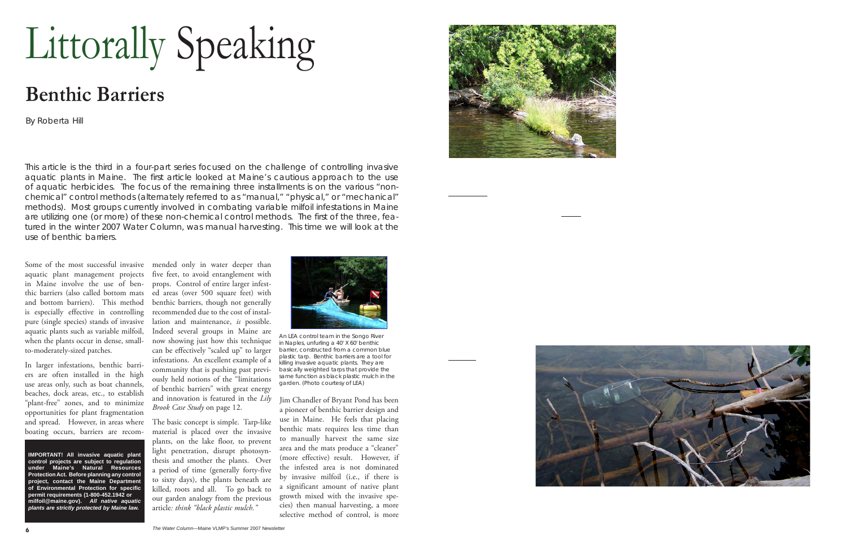## Littorally Speaking

## **Benthic Barriers**

By Roberta Hill

This article is the third in a four-part series focused on the challenge of controlling invasive aquatic plants in Maine. The first article looked at Maine's cautious approach to the use *of aquatic herbicides. The focus of the remaining three installments is on the various "nonchemical" control methods (alternately referred to as "manual," "physical," or "mechanical" methods). Most groups currently involved in combating variable milfoil infestations in Maine are utilizing one (or more) of these non-chemical control methods. The first of the three, featured in the winter 2007 Water Column, was manual harvesting. This time we will look at the use of benthic barriers.*

Some of the most successful invasive aquatic plant management projects in Maine involve the use of benthic barriers (also called bottom mats and bottom barriers). This method is especially effective in controlling pure (single species) stands of invasive aquatic plants such as variable milfoil, when the plants occur in dense, smallto-moderately-sized patches.

In larger infestations, benthic barriers are often installed in the high use areas only, such as boat channels, beaches, dock areas, etc., to establish "plant-free" zones, and to minimize opportunities for plant fragmentation and spread. However, in areas where boating occurs, barriers are recom-

**IMPORTANT! All invasive aquatic plant control projects are subject to regulation under Maine's Natural Resources Protection Act. Before planning any control project, contact the Maine Department of Environmental Protection for specific permit requirements (1-800-452.1942 or milfoil@maine.gov).** *All native aquatic plants are strictly protected by Maine law.*

mended only in water deeper than five feet, to avoid entanglement with props. Control of entire larger infested areas (over 500 square feet) with benthic barriers, though not generally recommended due to the cost of installation and maintenance, *is* possible. Indeed several groups in Maine are now showing just how this technique can be effectively "scaled up" to larger infestations. An excellent example of a community that is pushing past previously held notions of the "limitations of benthic barriers" with great energy and innovation is featured in the *Lily Brook Case Study* on page 12.

The basic concept is simple. Tarp-like material is placed over the invasive plants, on the lake floor, to prevent light penetration, disrupt photosynthesis and smother the plants. Over a period of time (generally forty-five to sixty days), the plants beneath are killed, roots and all. To go back to our garden analogy from the previous article*: think "black plastic mulch."* 



An LEA control team in the Songo River in Naples, unfurling a 40' X 60' benthic barrier, constructed from a common blue plastic tarp. Benthic barriers are a tool for killing invasive aquatic plants. They are basically weighted tarps that provide the same function as black plastic mulch in the garden. (Photo courtesy of LEA)

Jim Chandler of Bryant Pond has been a pioneer of benthic barrier design and use in Maine. He feels that placing benthic mats requires less time than to manually harvest the same size area and the mats produce a "cleaner" (more effective) result. However, if the infested area is not dominated by invasive milfoil (i.e., if there is a significant amount of native plant growth mixed with the invasive species) then manual harvesting, a more selective method of control, is more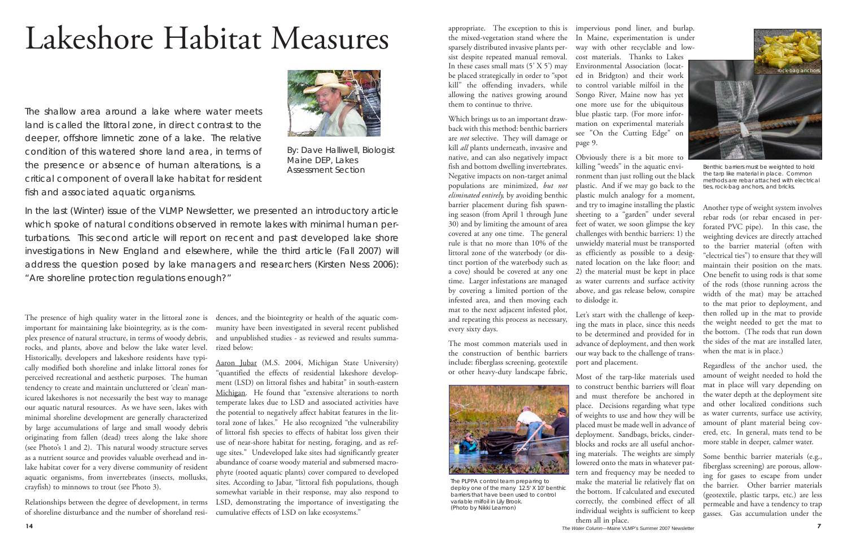appropriate. The exception to this is the mixed-vegetation stand where the sparsely distributed invasive plants persist despite repeated manual removal. In these cases small mats  $(5' \times 5')$  may be placed strategically in order to "spot kill" the offending invaders, while allowing the natives growing around them to continue to thrive.

Which brings us to an important drawback with this method: benthic barriers are *not* selective. They will damage or kill *all* plants underneath, invasive and native, and can also negatively impact fish and bottom dwelling invertebrates. Negative impacts on non-target animal populations are minimized, *but not eliminated entirely,* by avoiding benthic barrier placement during fish spawning season (from April 1 through June 30) and by limiting the amount of area covered at any one time. The general rule is that no more than 10% of the littoral zone of the waterbody (or distinct portion of the waterbody such as a cove) should be covered at any one time. Larger infestations are managed by covering a limited portion of the infested area, and then moving each mat to the next adjacent infested plot, and repeating this process as necessary, every sixty days.

The most common materials used in the construction of benthic barriers include: fiberglass screening, geotextile or other heavy-duty landscape fabric,



*The PLPPA control team preparing to deploy one of the many 12.5' X 10' benthic barriers that have been used to control variable milfoil in Lily Brook. (Photo by Nikki Leamon)*

impervious pond liner, and burlap. In Maine, experimentation is under way with other recyclable and lowcost materials. Thanks to Lakes Environmental Association (located in Bridgton) and their work to control variable milfoil in the Songo River, Maine now has yet one more use for the ubiquitous blue plastic tarp. (For more information on experimental materials see "On the Cutting Edge" on page 9.

Obviously there is a bit more to killing "weeds" in the aquatic envi-

ronment than just rolling out the black plastic. And if we may go back to the plastic mulch analogy for a moment, and try to imagine installing the plastic sheeting to a "garden" under several feet of water, we soon glimpse the key challenges with benthic barriers: 1) the unwieldy material must be transported as efficiently as possible to a designated location on the lake floor; and 2) the material must be kept in place as water currents and surface activity above, and gas release below, conspire to dislodge it.

Let's start with the challenge of keeping the mats in place, since this needs to be determined and provided for in advance of deployment, and then work our way back to the challenge of transport and placement.

Most of the tarp-like materials used to construct benthic barriers will float and must therefore be anchored in place. Decisions regarding what type of weights to use and how they will be placed must be made well in advance of deployment. Sandbags, bricks, cinderblocks and rocks are all useful anchoring materials. The weights are simply lowered onto the mats in whatever pattern and frequency may be needed to make the material lie relatively flat on the bottom. If calculated and executed correctly, the combined effect of all individual weights is sufficient to keep them all in place.



Benthic barriers must be weighted to hold the tarp like material in place. Common methods are rebar attached with electrical ties, rock-bag anchors, and bricks.

Another type of weight system involves rebar rods (or rebar encased in perforated PVC pipe). In this case, the weighting devices are directly attached to the barrier material (often with "electrical ties") to ensure that they will maintain their position on the mats. One benefit to using rods is that some of the rods (those running across the width of the mat) may be attached to the mat prior to deployment, and then rolled up in the mat to provide the weight needed to get the mat to the bottom. (The rods that run down the sides of the mat are installed later, when the mat is in place.)

Regardless of the anchor used, the amount of weight needed to hold the mat in place will vary depending on the water depth at the deployment site and other localized conditions such as water currents, surface use activity, amount of plant material being covered, etc. In general, mats tend to be more stable in deeper, calmer water.

Some benthic barrier materials (e.g., fiberglass screening) are porous, allowing for gases to escape from under the barrier. Other barrier materials (geotextile, plastic tarps, etc.) are less permeable and have a tendency to trap gasses. Gas accumulation under the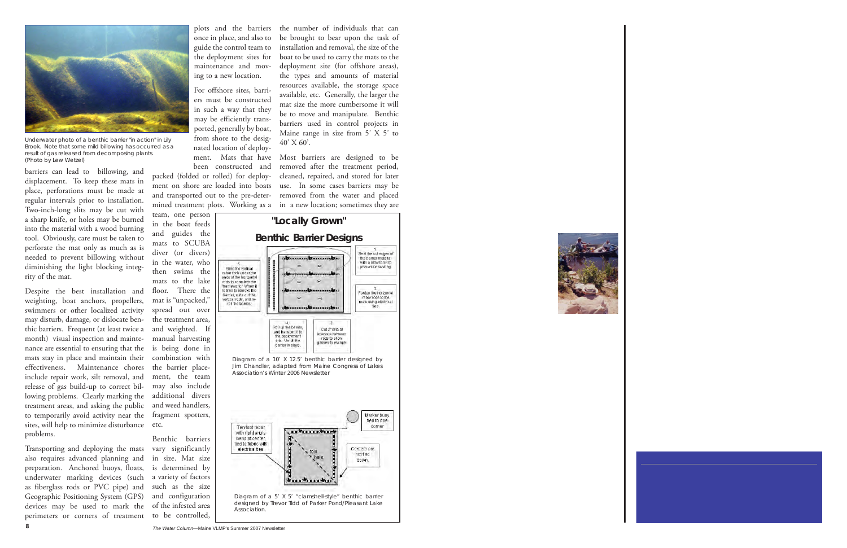

Underwater photo of a benthic barrier "in action" in Lily Brook. Note that some mild billowing has occurred as a result of gas released from decomposing plants. (Photo by Lew Wetzel)

barriers can lead to billowing, and displacement. To keep these mats in place, perforations must be made at regular intervals prior to installation. Two-inch-long slits may be cut with a sharp knife, or holes may be burned into the material with a wood burning tool. Obviously, care must be taken to perforate the mat only as much as is needed to prevent billowing without diminishing the light blocking integrity of the mat.

Despite the best installation and weighting, boat anchors, propellers, swimmers or other localized activity may disturb, damage, or dislocate benthic barriers. Frequent (at least twice a month) visual inspection and maintenance are essential to ensuring that the mats stay in place and maintain their effectiveness. Maintenance chores include repair work, silt removal, and release of gas build-up to correct billowing problems. Clearly marking the treatment areas, and asking the public to temporarily avoid activity near the sites, will help to minimize disturbance problems.

Transporting and deploying the mats also requires advanced planning and preparation. Anchored buoys, floats, underwater marking devices (such as fiberglass rods or PVC pipe) and Geographic Positioning System (GPS) devices may be used to mark the perimeters or corners of treatment plots and the barriers once in place, and also to guide the control team to the deployment sites for maintenance and moving to a new location.

For offshore sites, barriers must be constructed in such a way that they may be efficiently transported, generally by boat, from shore to the designated location of deployment. Mats that have been constructed and

packed (folded or rolled) for deployment on shore are loaded into boats and transported out to the pre-determined treatment plots. Working as a

team, one person in the boat feeds and guides the mats to SCUBA diver (or divers) in the water, who then swims the mats to the lake floor. There the mat is "unpacked," spread out over the treatment area, and weighted. If manual harvesting is being done in combination with the barrier placement, the team may also include additional divers and weed handlers, fragment spotters, etc.

Benthic barriers vary significantly in size. Mat size is determined by a variety of factors such as the size and configuration of the infested area to be controlled,

the number of individuals that can be brought to bear upon the task of installation and removal, the size of the boat to be used to carry the mats to the deployment site (for offshore areas), the types and amounts of material resources available, the storage space available, etc. Generally, the larger the mat size the more cumbersome it will be to move and manipulate. Benthic barriers used in control projects in Maine range in size from 5' X 5' to  $40'$  X 60'.

Most barriers are designed to be removed after the treatment period, cleaned, repaired, and stored for later use. In some cases barriers may be removed from the water and placed in a new location; sometimes they are